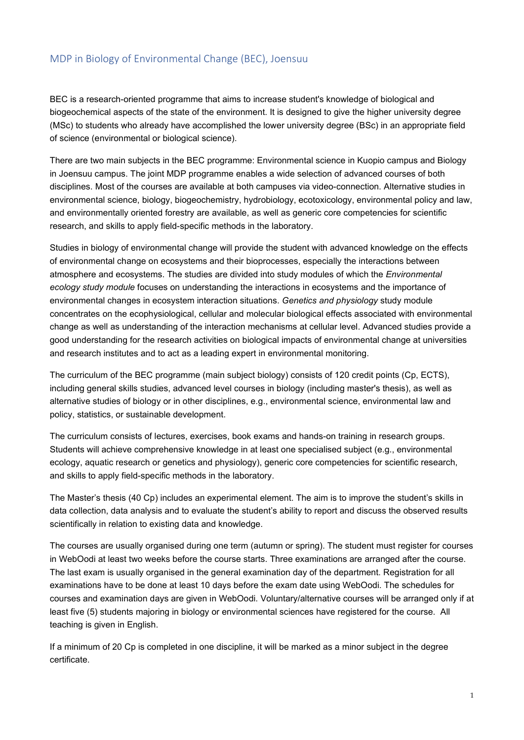# MDP in Biology of Environmental Change (BEC), Joensuu

BEC is a research-oriented programme that aims to increase student's knowledge of biological and biogeochemical aspects of the state of the environment. It is designed to give the higher university degree (MSc) to students who already have accomplished the lower university degree (BSc) in an appropriate field of science (environmental or biological science).

There are two main subjects in the BEC programme: Environmental science in Kuopio campus and Biology in Joensuu campus. The joint MDP programme enables a wide selection of advanced courses of both disciplines. Most of the courses are available at both campuses via video-connection. Alternative studies in environmental science, biology, biogeochemistry, hydrobiology, ecotoxicology, environmental policy and law, and environmentally oriented forestry are available, as well as generic core competencies for scientific research, and skills to apply field-specific methods in the laboratory.

Studies in biology of environmental change will provide the student with advanced knowledge on the effects of environmental change on ecosystems and their bioprocesses, especially the interactions between atmosphere and ecosystems. The studies are divided into study modules of which the *Environmental ecology study module* focuses on understanding the interactions in ecosystems and the importance of environmental changes in ecosystem interaction situations. *Genetics and physiology* study module concentrates on the ecophysiological, cellular and molecular biological effects associated with environmental change as well as understanding of the interaction mechanisms at cellular level. Advanced studies provide a good understanding for the research activities on biological impacts of environmental change at universities and research institutes and to act as a leading expert in environmental monitoring.

The curriculum of the BEC programme (main subject biology) consists of 120 credit points (Cp, ECTS), including general skills studies, advanced level courses in biology (including master's thesis), as well as alternative studies of biology or in other disciplines, e.g., environmental science, environmental law and policy, statistics, or sustainable development.

The curriculum consists of lectures, exercises, book exams and hands-on training in research groups. Students will achieve comprehensive knowledge in at least one specialised subject (e.g., environmental ecology, aquatic research or genetics and physiology), generic core competencies for scientific research, and skills to apply field-specific methods in the laboratory.

The Master's thesis (40 Cp) includes an experimental element. The aim is to improve the student's skills in data collection, data analysis and to evaluate the student's ability to report and discuss the observed results scientifically in relation to existing data and knowledge.

The courses are usually organised during one term (autumn or spring). The student must register for courses in WebOodi at least two weeks before the course starts. Three examinations are arranged after the course. The last exam is usually organised in the general examination day of the department. Registration for all examinations have to be done at least 10 days before the exam date using WebOodi. The schedules for courses and examination days are given in WebOodi. Voluntary/alternative courses will be arranged only if at least five (5) students majoring in biology or environmental sciences have registered for the course. All teaching is given in English.

If a minimum of 20 Cp is completed in one discipline, it will be marked as a minor subject in the degree certificate.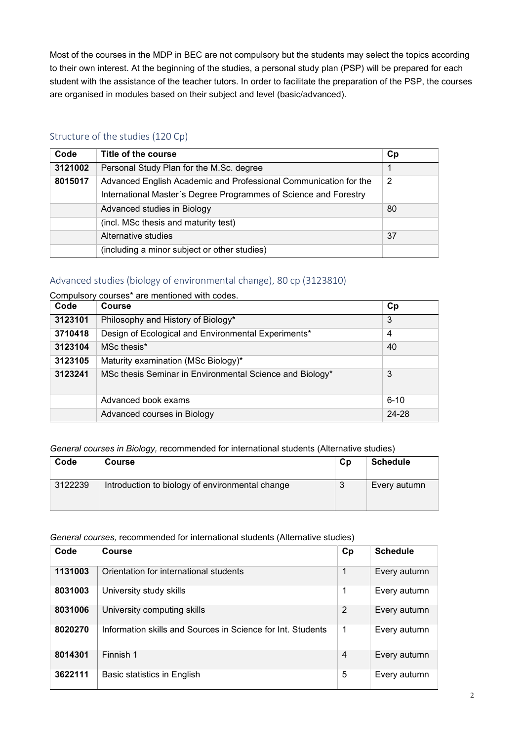Most of the courses in the MDP in BEC are not compulsory but the students may select the topics according to their own interest. At the beginning of the studies, a personal study plan (PSP) will be prepared for each student with the assistance of the teacher tutors. In order to facilitate the preparation of the PSP, the courses are organised in modules based on their subject and level (basic/advanced).

## Structure of the studies (120 Cp)

| Code    | Title of the course                                              | Cp |
|---------|------------------------------------------------------------------|----|
| 3121002 | Personal Study Plan for the M.Sc. degree                         |    |
| 8015017 | Advanced English Academic and Professional Communication for the |    |
|         | International Master's Degree Programmes of Science and Forestry |    |
|         | Advanced studies in Biology                                      | 80 |
|         | (incl. MSc thesis and maturity test)                             |    |
|         | Alternative studies                                              | 37 |
|         | (including a minor subject or other studies)                     |    |

### Advanced studies (biology of environmental change), 80 cp (3123810)

Compulsory courses\* are mentioned with codes.

| Code    | Course                                                   | Cp       |
|---------|----------------------------------------------------------|----------|
| 3123101 | Philosophy and History of Biology*                       | 3        |
| 3710418 | Design of Ecological and Environmental Experiments*      | 4        |
| 3123104 | MSc thesis*                                              | 40       |
| 3123105 | Maturity examination (MSc Biology)*                      |          |
| 3123241 | MSc thesis Seminar in Environmental Science and Biology* | 3        |
|         | Advanced book exams                                      | $6 - 10$ |
|         | Advanced courses in Biology                              | 24-28    |

### *General courses in Biology,* recommended for international students (Alternative studies)

| Code    | Course                                          | Cp | <b>Schedule</b> |
|---------|-------------------------------------------------|----|-----------------|
| 3122239 | Introduction to biology of environmental change |    | Every autumn    |

### *General courses,* recommended for international students (Alternative studies)

| Code    | Course                                                      | Cp             | <b>Schedule</b> |
|---------|-------------------------------------------------------------|----------------|-----------------|
| 1131003 | Orientation for international students                      | 1              | Every autumn    |
| 8031003 | University study skills                                     | 1              | Every autumn    |
| 8031006 | University computing skills                                 | $\overline{2}$ | Every autumn    |
| 8020270 | Information skills and Sources in Science for Int. Students | $\overline{1}$ | Every autumn    |
| 8014301 | Finnish 1                                                   | 4              | Every autumn    |
| 3622111 | Basic statistics in English                                 | 5              | Every autumn    |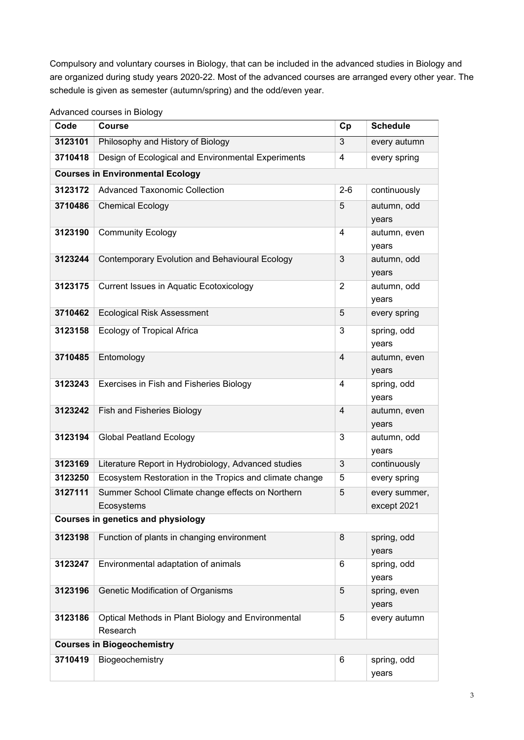Compulsory and voluntary courses in Biology, that can be included in the advanced studies in Biology and are organized during study years 2020-22. Most of the advanced courses are arranged every other year. The schedule is given as semester (autumn/spring) and the odd/even year.

| Code                              | <b>Course</b>                                                  | Cp             | <b>Schedule</b>              |
|-----------------------------------|----------------------------------------------------------------|----------------|------------------------------|
| 3123101                           | Philosophy and History of Biology                              | 3              | every autumn                 |
| 3710418                           | Design of Ecological and Environmental Experiments             | 4              | every spring                 |
|                                   | <b>Courses in Environmental Ecology</b>                        |                |                              |
| 3123172                           | <b>Advanced Taxonomic Collection</b>                           | $2 - 6$        | continuously                 |
| 3710486                           | <b>Chemical Ecology</b>                                        | 5              | autumn, odd<br>years         |
| 3123190                           | <b>Community Ecology</b>                                       | 4              | autumn, even<br>years        |
| 3123244                           | <b>Contemporary Evolution and Behavioural Ecology</b>          | 3              | autumn, odd<br>years         |
| 3123175                           | <b>Current Issues in Aquatic Ecotoxicology</b>                 | $\overline{2}$ | autumn, odd<br>years         |
| 3710462                           | <b>Ecological Risk Assessment</b>                              | 5              | every spring                 |
| 3123158                           | Ecology of Tropical Africa                                     | 3              | spring, odd<br>years         |
| 3710485                           | Entomology                                                     | 4              | autumn, even<br>years        |
| 3123243                           | Exercises in Fish and Fisheries Biology                        | 4              | spring, odd<br>years         |
| 3123242                           | Fish and Fisheries Biology                                     | $\overline{4}$ | autumn, even<br>years        |
| 3123194                           | <b>Global Peatland Ecology</b>                                 | 3              | autumn, odd<br>years         |
| 3123169                           | Literature Report in Hydrobiology, Advanced studies            | 3              | continuously                 |
| 3123250                           | Ecosystem Restoration in the Tropics and climate change        | 5              | every spring                 |
| 3127111                           | Summer School Climate change effects on Northern<br>Ecosystems | 5              | every summer,<br>except 2021 |
|                                   | <b>Courses in genetics and physiology</b>                      |                |                              |
| 3123198                           | Function of plants in changing environment                     | 8              | spring, odd<br>years         |
| 3123247                           | Environmental adaptation of animals                            | 6              | spring, odd<br>years         |
| 3123196                           | Genetic Modification of Organisms                              | 5              | spring, even<br>years        |
| 3123186                           | Optical Methods in Plant Biology and Environmental<br>Research | 5              | every autumn                 |
| <b>Courses in Biogeochemistry</b> |                                                                |                |                              |
| 3710419                           | Biogeochemistry                                                | 6              | spring, odd<br>years         |

Advanced courses in Biology